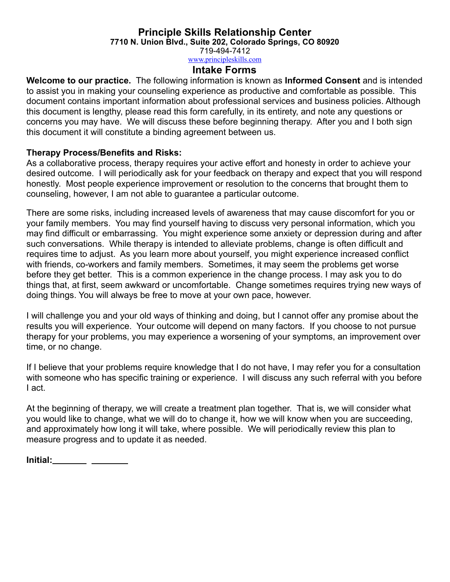**7710 N. Union Blvd., Suite 202, Colorado Springs, CO 80920**

719-494-7412

[www.principleskills.com](http://www.principleskills.com)

### **Intake Forms**

**Welcome to our practice.** The following information is known as **Informed Consent** and is intended to assist you in making your counseling experience as productive and comfortable as possible. This document contains important information about professional services and business policies. Although this document is lengthy, please read this form carefully, in its entirety, and note any questions or concerns you may have. We will discuss these before beginning therapy. After you and I both sign this document it will constitute a binding agreement between us.

### **Therapy Process/Benefits and Risks:**

As a collaborative process, therapy requires your active effort and honesty in order to achieve your desired outcome. I will periodically ask for your feedback on therapy and expect that you will respond honestly. Most people experience improvement or resolution to the concerns that brought them to counseling, however, I am not able to guarantee a particular outcome.

There are some risks, including increased levels of awareness that may cause discomfort for you or your family members. You may find yourself having to discuss very personal information, which you may find difficult or embarrassing. You might experience some anxiety or depression during and after such conversations. While therapy is intended to alleviate problems, change is often difficult and requires time to adjust. As you learn more about yourself, you might experience increased conflict with friends, co-workers and family members. Sometimes, it may seem the problems get worse before they get better. This is a common experience in the change process. I may ask you to do things that, at first, seem awkward or uncomfortable. Change sometimes requires trying new ways of doing things. You will always be free to move at your own pace, however.

I will challenge you and your old ways of thinking and doing, but I cannot offer any promise about the results you will experience. Your outcome will depend on many factors. If you choose to not pursue therapy for your problems, you may experience a worsening of your symptoms, an improvement over time, or no change.

If I believe that your problems require knowledge that I do not have, I may refer you for a consultation with someone who has specific training or experience. I will discuss any such referral with you before I act.

At the beginning of therapy, we will create a treatment plan together. That is, we will consider what you would like to change, what we will do to change it, how we will know when you are succeeding, and approximately how long it will take, where possible. We will periodically review this plan to measure progress and to update it as needed.

**Initial:**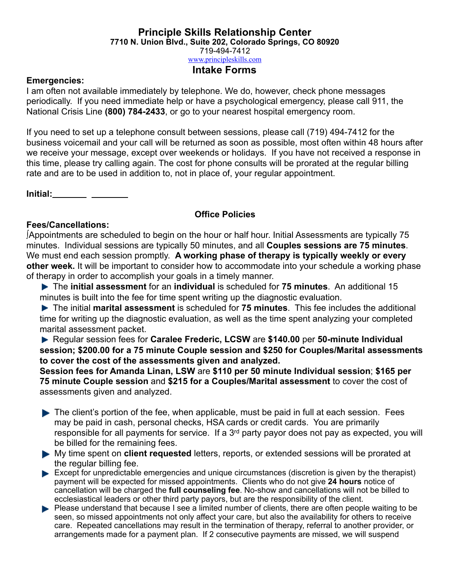**7710 N. Union Blvd., Suite 202, Colorado Springs, CO 80920**

719-494-7412

## [www.principleskills.com](http://www.principleskills.com)

## **Intake Forms**

#### **Emergencies:**

I am often not available immediately by telephone. We do, however, check phone messages periodically. If you need immediate help or have a psychological emergency, please call 911, the National Crisis Line **(800) 784-2433**, or go to your nearest hospital emergency room.

If you need to set up a telephone consult between sessions, please call (719) 494-7412 for the business voicemail and your call will be returned as soon as possible, most often within 48 hours after we receive your message, except over weekends or holidays. If you have not received a response in this time, please try calling again. The cost for phone consults will be prorated at the regular billing rate and are to be used in addition to, not in place of, your regular appointment.

**Initial:**

### **Office Policies**

### **Fees/Cancellations:**

**∫**Appointments are scheduled to begin on the hour or half hour. Initial Assessments are typically 75 minutes. Individual sessions are typically 50 minutes, and all **Couples sessions are 75 minutes**. We must end each session promptly. **A working phase of therapy is typically weekly or every other week.** It will be important to consider how to accommodate into your schedule a working phase of therapy in order to accomplish your goals in a timely manner.

 The **initial assessment** for an **individual** is scheduled for **75 minutes**. An additional 15 minutes is built into the fee for time spent writing up the diagnostic evaluation.

 The initial **marital assessment** is scheduled for **75 minutes**. This fee includes the additional time for writing up the diagnostic evaluation, as well as the time spent analyzing your completed marital assessment packet.

 Regular session fees for **Caralee Frederic, LCSW** are **\$140.00** per **50-minute Individual session; \$200.00 for a 75 minute Couple session and \$250 for Couples/Marital assessments to cover the cost of the assessments given and analyzed.** 

**Session fees for Amanda Linan, LSW** are **\$110 per 50 minute Individual session**; **\$165 per 75 minute Couple session** and **\$215 for a Couples/Marital assessment** to cover the cost of assessments given and analyzed.

- The client's portion of the fee, when applicable, must be paid in full at each session. Fees may be paid in cash, personal checks, HSA cards or credit cards. You are primarily responsible for all payments for service. If a 3<sup>rd</sup> party payor does not pay as expected, you will be billed for the remaining fees.
- My time spent on **client requested** letters, reports, or extended sessions will be prorated at the regular billing fee.
- Except for unpredictable emergencies and unique circumstances (discretion is given by the therapist) payment will be expected for missed appointments. Clients who do not give **24 hours** notice of cancellation will be charged the **full counseling fee**. No-show and cancellations will not be billed to ecclesiastical leaders or other third party payors, but are the responsibility of the client.
- **Please understand that because I see a limited number of clients, there are often people waiting to be** seen, so missed appointments not only affect your care, but also the availability for others to receive care. Repeated cancellations may result in the termination of therapy, referral to another provider, or arrangements made for a payment plan. If 2 consecutive payments are missed, we will suspend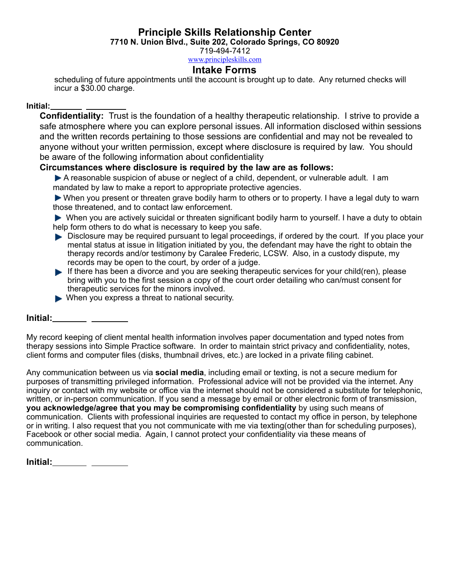**7710 N. Union Blvd., Suite 202, Colorado Springs, CO 80920**

719-494-7412

## [www.principleskills.com](http://www.principleskills.com)

## **Intake Forms**

scheduling of future appointments until the account is brought up to date. Any returned checks will incur a \$30.00 charge.

#### **Initial:**

**Confidentiality:** Trust is the foundation of a healthy therapeutic relationship. I strive to provide a safe atmosphere where you can explore personal issues. All information disclosed within sessions and the written records pertaining to those sessions are confidential and may not be revealed to anyone without your written permission, except where disclosure is required by law. You should be aware of the following information about confidentiality

#### **Circumstances where disclosure is required by the law are as follows:**

A reasonable suspicion of abuse or neglect of a child, dependent, or vulnerable adult. I am mandated by law to make a report to appropriate protective agencies.

 When you present or threaten grave bodily harm to others or to property. I have a legal duty to warn those threatened, and to contact law enforcement.

 When you are actively suicidal or threaten significant bodily harm to yourself. I have a duty to obtain help form others to do what is necessary to keep you safe.

- Disclosure may be required pursuant to legal proceedings, if ordered by the court. If you place your mental status at issue in litigation initiated by you, the defendant may have the right to obtain the therapy records and/or testimony by Caralee Frederic, LCSW. Also, in a custody dispute, my records may be open to the court, by order of a judge.
- If there has been a divorce and you are seeking therapeutic services for your child(ren), please bring with you to the first session a copy of the court order detailing who can/must consent for therapeutic services for the minors involved.
- When you express a threat to national security.

#### **Initial:**

My record keeping of client mental health information involves paper documentation and typed notes from therapy sessions into Simple Practice software. In order to maintain strict privacy and confidentiality, notes, client forms and computer files (disks, thumbnail drives, etc.) are locked in a private filing cabinet.

Any communication between us via **social media**, including email or texting, is not a secure medium for purposes of transmitting privileged information. Professional advice will not be provided via the internet. Any inquiry or contact with my website or office via the internet should not be considered a substitute for telephonic, written, or in-person communication. If you send a message by email or other electronic form of transmission, **you acknowledge/agree that you may be compromising confidentiality** by using such means of communication. Clients with professional inquiries are requested to contact my office in person, by telephone or in writing. I also request that you not communicate with me via texting(other than for scheduling purposes), Facebook or other social media. Again, I cannot protect your confidentiality via these means of communication.

| Initial: |  |
|----------|--|
|----------|--|